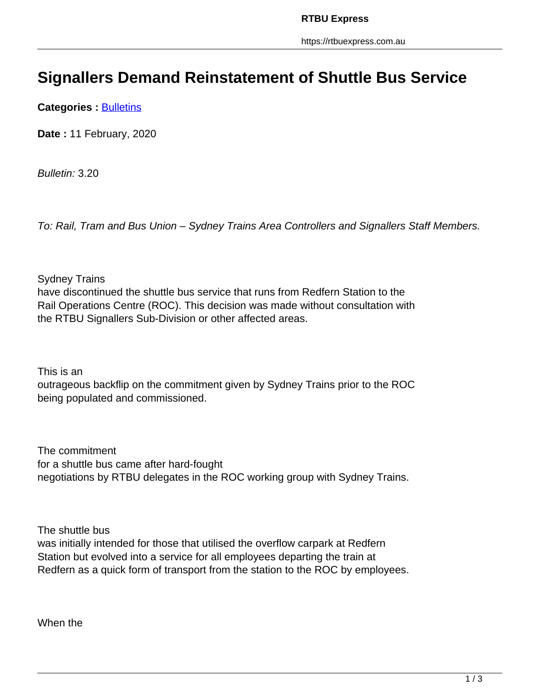## **Signallers Demand Reinstatement of Shuttle Bus Service**

**Categories : [Bulletins](https://rtbuexpress.com.au/category/news/bulletins/)** 

**Date :** 11 February, 2020

Bulletin: 3.20

To: Rail, Tram and Bus Union – Sydney Trains Area Controllers and Signallers Staff Members.

Sydney Trains

have discontinued the shuttle bus service that runs from Redfern Station to the Rail Operations Centre (ROC). This decision was made without consultation with the RTBU Signallers Sub-Division or other affected areas.

This is an

outrageous backflip on the commitment given by Sydney Trains prior to the ROC being populated and commissioned.

The commitment for a shuttle bus came after hard-fought negotiations by RTBU delegates in the ROC working group with Sydney Trains.

The shuttle bus

was initially intended for those that utilised the overflow carpark at Redfern Station but evolved into a service for all employees departing the train at Redfern as a quick form of transport from the station to the ROC by employees.

When the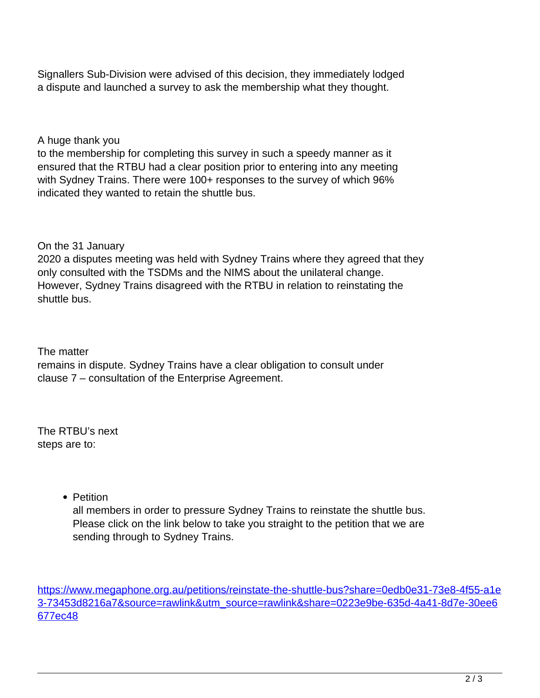Signallers Sub-Division were advised of this decision, they immediately lodged a dispute and launched a survey to ask the membership what they thought.

## A huge thank you

to the membership for completing this survey in such a speedy manner as it ensured that the RTBU had a clear position prior to entering into any meeting with Sydney Trains. There were 100+ responses to the survey of which 96% indicated they wanted to retain the shuttle bus.

## On the 31 January

2020 a disputes meeting was held with Sydney Trains where they agreed that they only consulted with the TSDMs and the NIMS about the unilateral change. However, Sydney Trains disagreed with the RTBU in relation to reinstating the shuttle bus.

The matter

remains in dispute. Sydney Trains have a clear obligation to consult under clause 7 – consultation of the Enterprise Agreement.

The RTBU's next steps are to:

• Petition

all members in order to pressure Sydney Trains to reinstate the shuttle bus. Please click on the link below to take you straight to the petition that we are sending through to Sydney Trains.

https://www.megaphone.org.au/petitions/reinstate-the-shuttle-bus?share=0edb0e31-73e8-4f55-a1e 3-73453d8216a7&source=rawlink&utm\_source=rawlink&share=0223e9be-635d-4a41-8d7e-30ee6 677ec48